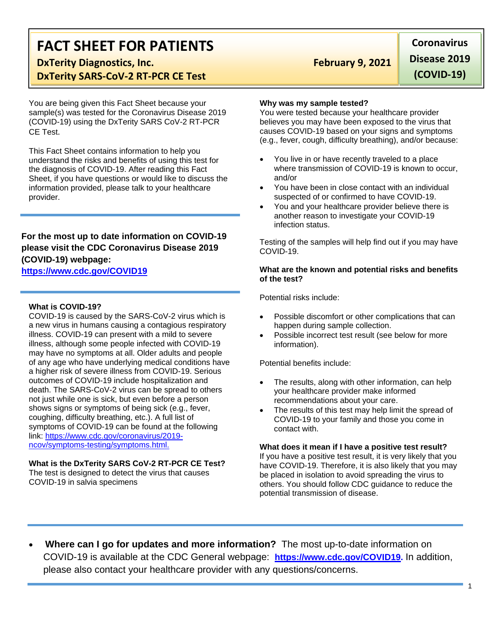# **FACT SHEET FOR PATIENTS**

**DxTerity Diagnostics, Inc.** The Contract of the Red February 9, 2021 **DxTerity SARS-CoV-2 RT-PCR CE Test**

You are being given this Fact Sheet because your sample(s) was tested for the Coronavirus Disease 2019 (COVID-19) using the DxTerity SARS CoV-2 RT-PCR CE Test.

This Fact Sheet contains information to help you understand the risks and benefits of using this test for the diagnosis of COVID-19. After reading this Fact Sheet, if you have questions or would like to discuss the information provided, please talk to your healthcare provider.

### **For the most up to date information on COVID-19 please visit the CDC Coronavirus Disease 2019 (COVID-19) webpage:**

#### **[https://www.cdc.gov/COVID19](https://www.cdc.gov/nCoV)**

#### **What is COVID-19?**

COVID-19 is caused by the SARS-CoV-2 virus which is a new virus in humans causing a contagious respiratory illness. COVID-19 can present with a mild to severe illness, although some people infected with COVID-19 may have no symptoms at all. Older adults and people of any age who have underlying medical conditions have a higher risk of severe illness from COVID-19. Serious outcomes of COVID-19 include hospitalization and death. The SARS-CoV-2 virus can be spread to others not just while one is sick, but even before a person shows signs or symptoms of being sick (e.g., fever, coughing, difficulty breathing, etc.). A full list of symptoms of COVID-19 can be found at the following link: [https://www.cdc.gov/coronavirus/2019](https://www.cdc.gov/coronavirus/2019-ncov/symptoms-testing/symptoms.html) [ncov/symptoms-testing/symptoms.html.](https://www.cdc.gov/coronavirus/2019-ncov/symptoms-testing/symptoms.html)

#### **What is the DxTerity SARS CoV-2 RT-PCR CE Test?**

The test is designed to detect the virus that causes COVID-19 in salvia specimens

**Coronavirus Disease 2019 (COVID-19)**

#### **Why was my sample tested?**

You were tested because your healthcare provider believes you may have been exposed to the virus that causes COVID-19 based on your signs and symptoms (e.g., fever, cough, difficulty breathing), and/or because:

- You live in or have recently traveled to a place where transmission of COVID-19 is known to occur, and/or
- You have been in close contact with an individual suspected of or confirmed to have COVID-19.
- You and your healthcare provider believe there is another reason to investigate your COVID-19 infection status.

Testing of the samples will help find out if you may have COVID-19.

#### **What are the known and potential risks and benefits of the test?**

Potential risks include:

- Possible discomfort or other complications that can happen during sample collection.
- Possible incorrect test result (see below for more information).

Potential benefits include:

- The results, along with other information, can help your healthcare provider make informed recommendations about your care.
- The results of this test may help limit the spread of COVID-19 to your family and those you come in contact with.

#### **What does it mean if I have a positive test result?**

If you have a positive test result, it is very likely that you have COVID-19. Therefore, it is also likely that you may be placed in isolation to avoid spreading the virus to others. You should follow CDC guidance to reduce the potential transmission of disease.

• **Where can I go for updates and more information?** The most up-to-date information on COVID-19 is available at the CDC General webpage: **[https://www.cdc.gov/COVID19.](https://www.cdc.gov/nCoV)** In addition, please also contact your healthcare provider with any questions/concerns.